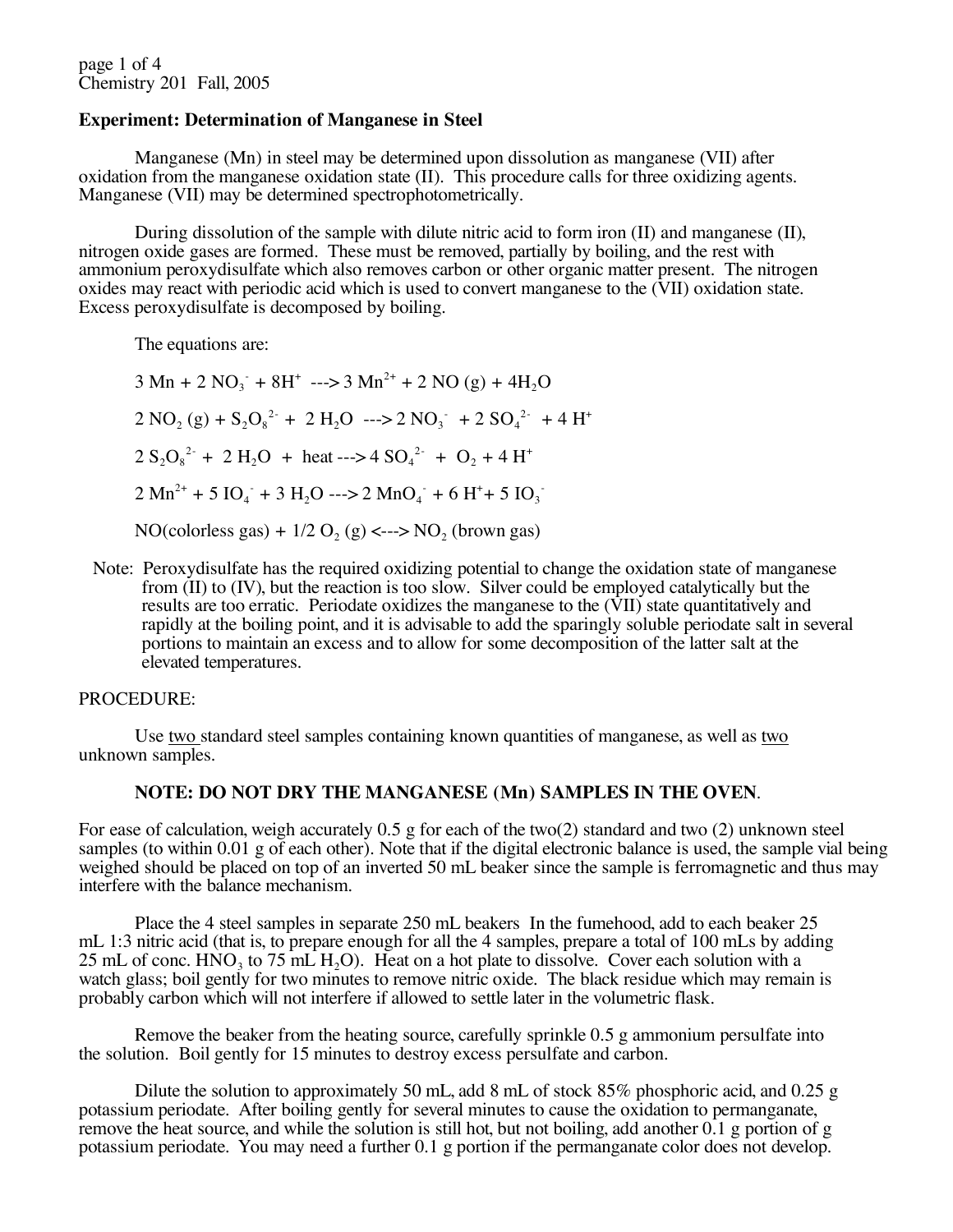page 1 of 4 Chemistry 201 Fall, 2005

#### **Experiment: Determination of Manganese in Steel**

Manganese (Mn) in steel may be determined upon dissolution as manganese (VII) after oxidation from the manganese oxidation state (II). This procedure calls for three oxidizing agents. Manganese (VII) may be determined spectrophotometrically.

During dissolution of the sample with dilute nitric acid to form iron (II) and manganese (II), nitrogen oxide gases are formed. These must be removed, partially by boiling, and the rest with ammonium peroxydisulfate which also removes carbon or other organic matter present. The nitrogen oxides may react with periodic acid which is used to convert manganese to the (VII) oxidation state. Excess peroxydisulfate is decomposed by boiling.

The equations are:

- $3 \text{ Mn} + 2 \text{ NO}_3 + 8\text{H}^+$  --->  $3 \text{ Mn}^{2+} + 2 \text{ NO} (g) + 4\text{H}_2\text{O}$  $2 \text{ NO}_2(g) + S_2\text{O}_8^2$  +  $2 \text{ H}_2\text{O}$  --->  $2 \text{ NO}_3$  +  $2 \text{ SO}_4^2$  +  $4 \text{ H}^+$  $2 S_2 O_8^{2}$  + 2 H<sub>2</sub>O + heat ---> 4 SO<sub>4</sub><sup>2</sup> + O<sub>2</sub> + 4 H<sup>+</sup>  $2 \text{ Mn}^{2+} + 5 \text{ IO}_4 + 3 \text{ H}_2\text{O} \longrightarrow 2 \text{ MnO}_4 + 6 \text{ H}^+ + 5 \text{ IO}_3$  $NO(colorless gas) + 1/2 O<sub>2</sub>(g) \leftarrow\rightarrow NO<sub>2</sub> (brown gas)$
- Note: Peroxydisulfate has the required oxidizing potential to change the oxidation state of manganese from (II) to (IV), but the reaction is too slow. Silver could be employed catalytically but the results are too erratic. Periodate oxidizes the manganese to the (VII) state quantitatively and rapidly at the boiling point, and it is advisable to add the sparingly soluble periodate salt in several portions to maintain an excess and to allow for some decomposition of the latter salt at the elevated temperatures.

### PROCEDURE:

Use two standard steel samples containing known quantities of manganese, as well as two unknown samples.

### **NOTE: DO NOT DRY THE MANGANESE (Mn) SAMPLES IN THE OVEN**.

For ease of calculation, weigh accurately 0.5 g for each of the two(2) standard and two (2) unknown steel samples (to within 0.01 g of each other). Note that if the digital electronic balance is used, the sample vial being weighed should be placed on top of an inverted 50 mL beaker since the sample is ferromagnetic and thus may interfere with the balance mechanism.

Place the 4 steel samples in separate 250 mL beakers In the fumehood, add to each beaker 25 mL 1:3 nitric acid (that is, to prepare enough for all the 4 samples, prepare a total of 100 mLs by adding 25 mL of conc.  $HNO_3$  to 75 mL  $H_2O$ ). Heat on a hot plate to dissolve. Cover each solution with a watch glass; boil gently for two minutes to remove nitric oxide. The black residue which may remain is probably carbon which will not interfere if allowed to settle later in the volumetric flask.

Remove the beaker from the heating source, carefully sprinkle 0.5 g ammonium persulfate into the solution. Boil gently for 15 minutes to destroy excess persulfate and carbon.

Dilute the solution to approximately 50 mL, add 8 mL of stock 85% phosphoric acid, and 0.25 g potassium periodate. After boiling gently for several minutes to cause the oxidation to permanganate, remove the heat source, and while the solution is still hot, but not boiling, add another  $0.1$  g portion of g potassium periodate. You may need a further 0.1 g portion if the permanganate color does not develop.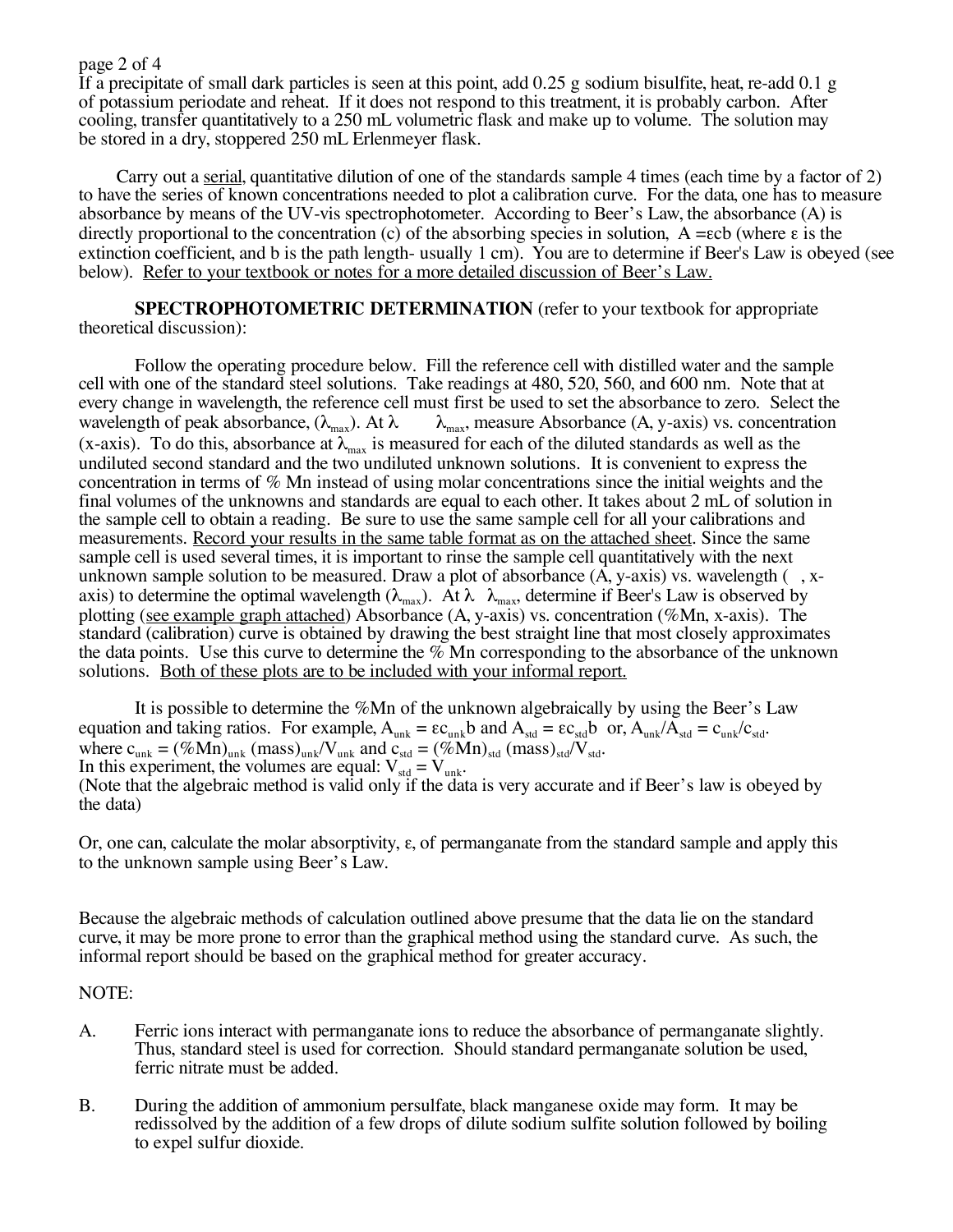page 2 of 4

If a precipitate of small dark particles is seen at this point, add 0.25 g sodium bisulfite, heat, re-add 0.1 g of potassium periodate and reheat. If it does not respond to this treatment, it is probably carbon. After cooling, transfer quantitatively to a 250 mL volumetric flask and make up to volume. The solution may be stored in a dry, stoppered 250 mL Erlenmeyer flask.

Carry out a serial, quantitative dilution of one of the standards sample 4 times (each time by a factor of 2) to have the series of known concentrations needed to plot a calibration curve. For the data, one has to measure absorbance by means of the UV-vis spectrophotometer. According to Beer's Law, the absorbance (A) is directly proportional to the concentration (c) of the absorbing species in solution,  $A = \epsilon cb$  (where  $\epsilon$  is the extinction coefficient, and b is the path length- usually 1 cm). You are to determine if Beer's Law is obeyed (see below). Refer to your textbook or notes for a more detailed discussion of Beer's Law.

**SPECTROPHOTOMETRIC DETERMINATION** (refer to your textbook for appropriate theoretical discussion):

Follow the operating procedure below. Fill the reference cell with distilled water and the sample cell with one of the standard steel solutions. Take readings at 480, 520, 560, and 600 nm. Note that at every change in wavelength, the reference cell must first be used to set the absorbance to zero. Select the wavelength of peak absorbance,  $(\lambda_{max})$ . At  $\lambda$   $\lambda_{max}$ , measure Absorbance (A, y-axis) vs. concentration (x-axis). To do this, absorbance at  $\lambda_{\text{max}}$  is measured for each of the diluted standards as well as the undiluted second standard and the two undiluted unknown solutions. It is convenient to express the concentration in terms of % Mn instead of using molar concentrations since the initial weights and the final volumes of the unknowns and standards are equal to each other. It takes about 2 mL of solution in the sample cell to obtain a reading. Be sure to use the same sample cell for all your calibrations and measurements. Record your results in the same table format as on the attached sheet. Since the same sample cell is used several times, it is important to rinse the sample cell quantitatively with the next unknown sample solution to be measured. Draw a plot of absorbance  $(A, y-axis)$  vs. wavelength  $(, x$ axis) to determine the optimal wavelength ( $\lambda_{\text{max}}$ ). At  $\lambda$   $\lambda_{\text{max}}$ , determine if Beer's Law is observed by plotting (see example graph attached) Absorbance (A, y-axis) vs. concentration (%Mn, x-axis). The standard (calibration) curve is obtained by drawing the best straight line that most closely approximates the data points. Use this curve to determine the  $\%$  Mn corresponding to the absorbance of the unknown solutions. Both of these plots are to be included with your informal report.

It is possible to determine the %Mn of the unknown algebraically by using the Beer's Law equation and taking ratios. For example,  $A_{unk} = \varepsilon c_{unk}b$  and  $A_{std} = \varepsilon c_{std}b$  or,  $A_{unk}/A_{std} = c_{unk}/c_{std}$ . where  $c_{unk} = (\%Mn)_{unk}$  (mass)<sub>unk</sub>/V<sub>unk</sub> and  $c_{std} = (\%Mn)_{std}$  (mass)<sub>std</sub>/V<sub>std</sub>. In this experiment, the volumes are equal:  $V_{\text{std}} = V_{\text{unk}}$ . (Note that the algebraic method is valid only if the data is very accurate and if Beer's law is obeyed by the data)

Or, one can, calculate the molar absorptivity, ε, of permanganate from the standard sample and apply this to the unknown sample using Beer's Law.

Because the algebraic methods of calculation outlined above presume that the data lie on the standard curve, it may be more prone to error than the graphical method using the standard curve. As such, the informal report should be based on the graphical method for greater accuracy.

### NOTE:

- A. Ferric ions interact with permanganate ions to reduce the absorbance of permanganate slightly. Thus, standard steel is used for correction. Should standard permanganate solution be used, ferric nitrate must be added.
- B. During the addition of ammonium persulfate, black manganese oxide may form. It may be redissolved by the addition of a few drops of dilute sodium sulfite solution followed by boiling to expel sulfur dioxide.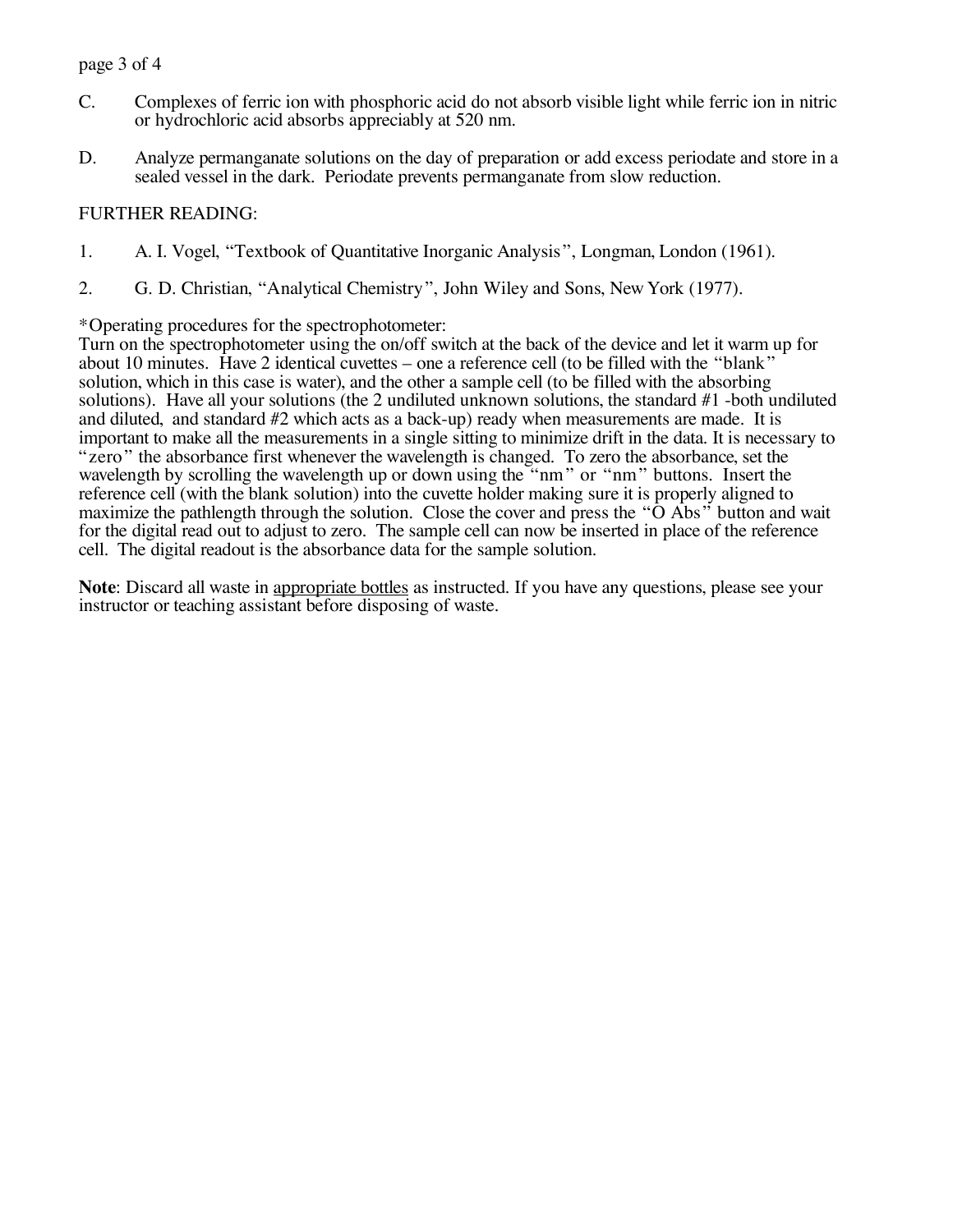## page 3 of 4

- C. Complexes of ferric ion with phosphoric acid do not absorb visible light while ferric ion in nitric or hydrochloric acid absorbs appreciably at 520 nm.
- D. Analyze permanganate solutions on the day of preparation or add excess periodate and store in a sealed vessel in the dark. Periodate prevents permanganate from slow reduction.

# FURTHER READING:

- 1. A. I. Vogel, "Textbook of Quantitative Inorganic Analysis", Longman, London (1961).
- 2. G. D. Christian, "Analytical Chemistry", John Wiley and Sons, New York (1977).

\*Operating procedures for the spectrophotometer:

Turn on the spectrophotometer using the on/off switch at the back of the device and let it warm up for about 10 minutes. Have 2 identical cuvettes – one a reference cell (to be filled with the "blank" solution, which in this case is water), and the other a sample cell (to be filled with the absorbing solutions). Have all your solutions (the 2 undiluted unknown solutions, the standard #1 -both undiluted and diluted, and standard #2 which acts as a back-up) ready when measurements are made. It is important to make all the measurements in a single sitting to minimize drift in the data. It is necessary to "zero" the absorbance first whenever the wavelength is changed. To zero the absorbance, set the wavelength by scrolling the wavelength up or down using the "nm" or "nm" buttons. Insert the reference cell (with the blank solution) into the cuvette holder making sure it is properly aligned to maximize the pathlength through the solution. Close the cover and press the " $\ddot{\text{O}}$  Abs" button and wait for the digital read out to adjust to zero. The sample cell can now be inserted in place of the reference cell. The digital readout is the absorbance data for the sample solution.

**Note**: Discard all waste in appropriate bottles as instructed. If you have any questions, please see your instructor or teaching assistant before disposing of waste.